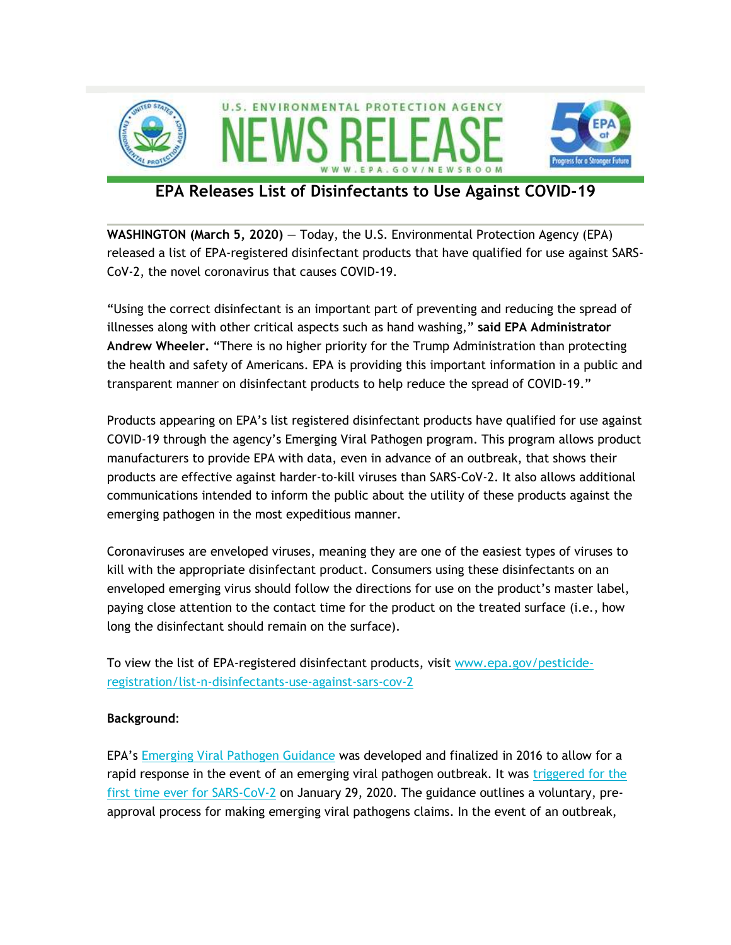



## **EPA Releases List of Disinfectants to Use Against COVID-19**

**WASHINGTON (March 5, 2020)** - Today, the U.S. Environmental Protection Agency (EPA) released a list of EPA-registered disinfectant products that have qualified for use against SARS-CoV-2, the novel coronavirus that causes COVID-19.

"Using the correct disinfectant is an important part of preventing and reducing the spread of illnesses along with other critical aspects such as hand washing," **said EPA Administrator Andrew Wheeler.** "There is no higher priority for the Trump Administration than protecting the health and safety of Americans. EPA is providing this important information in a public and transparent manner on disinfectant products to help reduce the spread of COVID-19."

Products appearing on EPA's list registered disinfectant products have qualified for use against COVID-19 through the agency's Emerging Viral Pathogen program. This program allows product manufacturers to provide EPA with data, even in advance of an outbreak, that shows their products are effective against harder-to-kill viruses than SARS-CoV-2. It also allows additional communications intended to inform the public about the utility of these products against the emerging pathogen in the most expeditious manner.

Coronaviruses are enveloped viruses, meaning they are one of the easiest types of viruses to kill with the appropriate disinfectant product. Consumers using these disinfectants on an enveloped emerging virus should follow the directions for use on the product's master label, paying close attention to the contact time for the product on the treated surface (i.e., how long the disinfectant should remain on the surface).

To view the list of EPA-registered disinfectant products, visit [www.epa.gov/pesticide](https://gcc01.safelinks.protection.outlook.com/?url=https%3A%2F%2Fusenvironmentalprotectionagency.cmail19.com%2Ft%2Fd-l-mgouk-alyjugz-r%2F&data=02%7C01%7CBowles.Jack%40epa.gov%7C956c26bb3b62479310e408d7c111b7f3%7C88b378b367484867acf976aacbeca6a7%7C0%7C0%7C637190155568384530&sdata=Xw%2BYAfjVdJCHtJNHnnIwnaKtlnYFBXEJJftfLHXAjOQ%3D&reserved=0)[registration/list-n-disinfectants-use-against-sars-cov-2](https://gcc01.safelinks.protection.outlook.com/?url=https%3A%2F%2Fusenvironmentalprotectionagency.cmail19.com%2Ft%2Fd-l-mgouk-alyjugz-r%2F&data=02%7C01%7CBowles.Jack%40epa.gov%7C956c26bb3b62479310e408d7c111b7f3%7C88b378b367484867acf976aacbeca6a7%7C0%7C0%7C637190155568384530&sdata=Xw%2BYAfjVdJCHtJNHnnIwnaKtlnYFBXEJJftfLHXAjOQ%3D&reserved=0)

## **Background**:

EPA's [Emerging Viral Pathogen Guidance](https://gcc01.safelinks.protection.outlook.com/?url=https%3A%2F%2Fusenvironmentalprotectionagency.cmail19.com%2Ft%2Fd-l-mgouk-alyjugz-y%2F&data=02%7C01%7CBowles.Jack%40epa.gov%7C956c26bb3b62479310e408d7c111b7f3%7C88b378b367484867acf976aacbeca6a7%7C0%7C0%7C637190155568394526&sdata=ohB6J1ppVHiIP6Z6H01PlOy714oBEh3qLK%2FA%2F4t9oXk%3D&reserved=0) was developed and finalized in 2016 to allow for a rapid response in the event of an emerging viral pathogen outbreak. It was triggered for the [first time ever for SARS-CoV-2](https://gcc01.safelinks.protection.outlook.com/?url=https%3A%2F%2Fusenvironmentalprotectionagency.cmail19.com%2Ft%2Fd-l-mgouk-alyjugz-j%2F&data=02%7C01%7CBowles.Jack%40epa.gov%7C956c26bb3b62479310e408d7c111b7f3%7C88b378b367484867acf976aacbeca6a7%7C0%7C0%7C637190155568394526&sdata=kfWw3UeXryJI57b3NapCX5EtbBAFiz6ksL4EFUVHJ2Q%3D&reserved=0) on January 29, 2020. The guidance outlines a voluntary, preapproval process for making emerging viral pathogens claims. In the event of an outbreak,